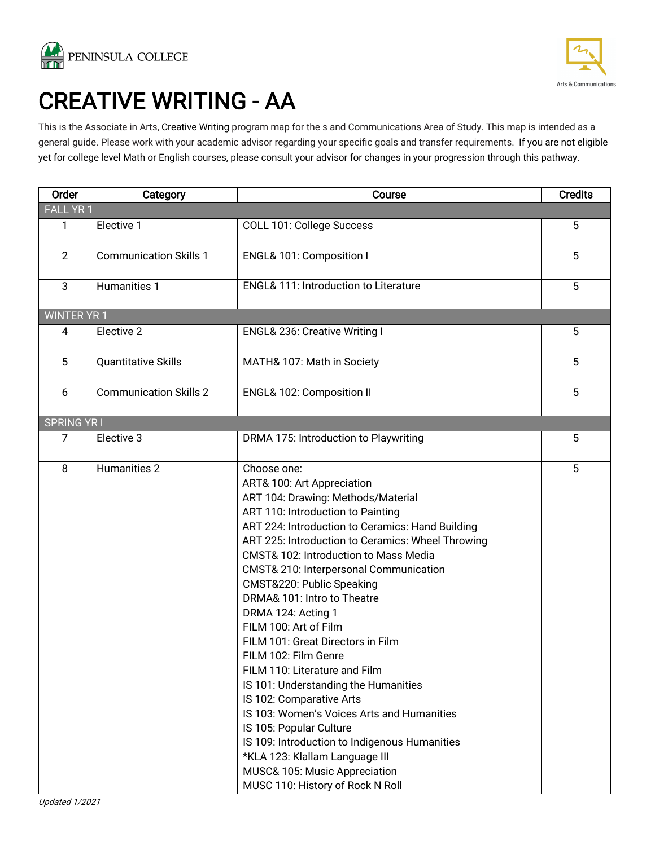



# CREATIVE WRITING - AA<br>This is the Associate in Arts, Creative Writing program map for the s and Communications Area of Study. This map is intended as a

general guide. Please work with your academic advisor regarding your specific goals and transfer requirements. If you are not eligible yet for college level Math or English courses, please consult your advisor for changes in your progression through this pathway.

| Order              | Category                      | Course                                                                                                                                                                                                                                                                                                                                                                                                                                                                                                                                                                                                                                                                                                                                                                                                                                    | <b>Credits</b> |
|--------------------|-------------------------------|-------------------------------------------------------------------------------------------------------------------------------------------------------------------------------------------------------------------------------------------------------------------------------------------------------------------------------------------------------------------------------------------------------------------------------------------------------------------------------------------------------------------------------------------------------------------------------------------------------------------------------------------------------------------------------------------------------------------------------------------------------------------------------------------------------------------------------------------|----------------|
| <b>FALL YR1</b>    |                               |                                                                                                                                                                                                                                                                                                                                                                                                                                                                                                                                                                                                                                                                                                                                                                                                                                           |                |
| 1                  | Elective 1                    | COLL 101: College Success                                                                                                                                                                                                                                                                                                                                                                                                                                                                                                                                                                                                                                                                                                                                                                                                                 | 5              |
| $\overline{2}$     | <b>Communication Skills 1</b> | ENGL& 101: Composition I                                                                                                                                                                                                                                                                                                                                                                                                                                                                                                                                                                                                                                                                                                                                                                                                                  | 5              |
| 3                  | Humanities 1                  | <b>ENGL&amp; 111: Introduction to Literature</b>                                                                                                                                                                                                                                                                                                                                                                                                                                                                                                                                                                                                                                                                                                                                                                                          | 5              |
| <b>WINTER YR 1</b> |                               |                                                                                                                                                                                                                                                                                                                                                                                                                                                                                                                                                                                                                                                                                                                                                                                                                                           |                |
| 4                  | Elective 2                    | ENGL& 236: Creative Writing I                                                                                                                                                                                                                                                                                                                                                                                                                                                                                                                                                                                                                                                                                                                                                                                                             | 5              |
| 5                  | <b>Quantitative Skills</b>    | MATH& 107: Math in Society                                                                                                                                                                                                                                                                                                                                                                                                                                                                                                                                                                                                                                                                                                                                                                                                                | 5              |
| 6                  | <b>Communication Skills 2</b> | ENGL& 102: Composition II                                                                                                                                                                                                                                                                                                                                                                                                                                                                                                                                                                                                                                                                                                                                                                                                                 | 5              |
| <b>SPRING YRI</b>  |                               |                                                                                                                                                                                                                                                                                                                                                                                                                                                                                                                                                                                                                                                                                                                                                                                                                                           |                |
| 7                  | Elective 3                    | DRMA 175: Introduction to Playwriting                                                                                                                                                                                                                                                                                                                                                                                                                                                                                                                                                                                                                                                                                                                                                                                                     | 5              |
| 8                  | Humanities 2                  | Choose one:<br>ART& 100: Art Appreciation<br>ART 104: Drawing: Methods/Material<br>ART 110: Introduction to Painting<br>ART 224: Introduction to Ceramics: Hand Building<br>ART 225: Introduction to Ceramics: Wheel Throwing<br><b>CMST&amp; 102: Introduction to Mass Media</b><br>CMST& 210: Interpersonal Communication<br>CMST&220: Public Speaking<br>DRMA& 101: Intro to Theatre<br>DRMA 124: Acting 1<br>FILM 100: Art of Film<br>FILM 101: Great Directors in Film<br>FILM 102: Film Genre<br>FILM 110: Literature and Film<br>IS 101: Understanding the Humanities<br>IS 102: Comparative Arts<br>IS 103: Women's Voices Arts and Humanities<br>IS 105: Popular Culture<br>IS 109: Introduction to Indigenous Humanities<br>*KLA 123: Klallam Language III<br>MUSC& 105: Music Appreciation<br>MUSC 110: History of Rock N Roll | 5              |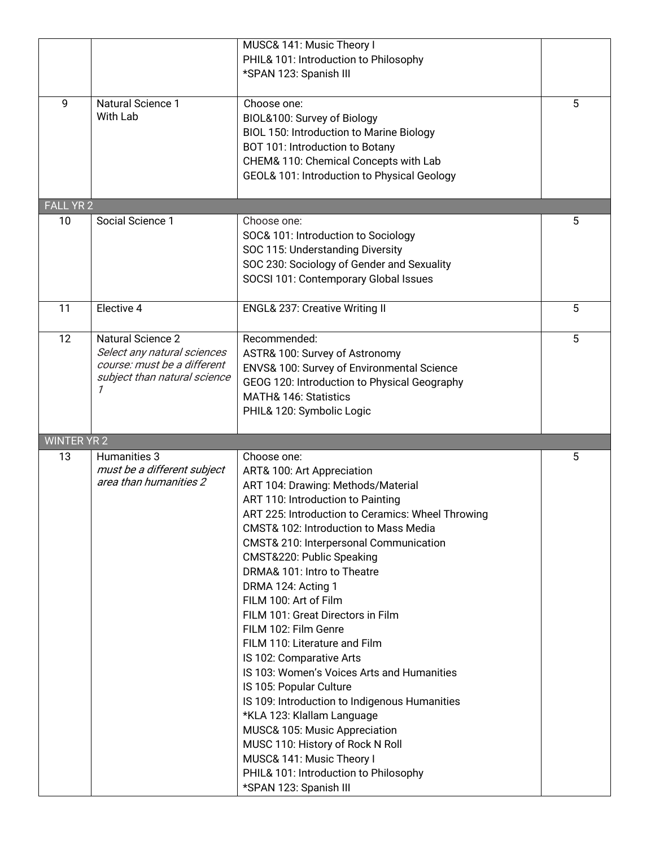|                    |                                                                                                                             | MUSC& 141: Music Theory I<br>PHIL& 101: Introduction to Philosophy<br>*SPAN 123: Spanish III                                                                                                                                                                                                                                                                                                                                                                                                                                                                                                                                                                                                                                                                                                                                   |   |
|--------------------|-----------------------------------------------------------------------------------------------------------------------------|--------------------------------------------------------------------------------------------------------------------------------------------------------------------------------------------------------------------------------------------------------------------------------------------------------------------------------------------------------------------------------------------------------------------------------------------------------------------------------------------------------------------------------------------------------------------------------------------------------------------------------------------------------------------------------------------------------------------------------------------------------------------------------------------------------------------------------|---|
| 9                  | Natural Science 1<br>With Lab                                                                                               | Choose one:<br>BIOL&100: Survey of Biology<br><b>BIOL 150: Introduction to Marine Biology</b><br>BOT 101: Introduction to Botany<br>CHEM& 110: Chemical Concepts with Lab<br>GEOL& 101: Introduction to Physical Geology                                                                                                                                                                                                                                                                                                                                                                                                                                                                                                                                                                                                       | 5 |
| <b>FALL YR 2</b>   |                                                                                                                             |                                                                                                                                                                                                                                                                                                                                                                                                                                                                                                                                                                                                                                                                                                                                                                                                                                |   |
| 10                 | Social Science 1                                                                                                            | Choose one:<br>SOC& 101: Introduction to Sociology<br>SOC 115: Understanding Diversity<br>SOC 230: Sociology of Gender and Sexuality<br>SOCSI 101: Contemporary Global Issues                                                                                                                                                                                                                                                                                                                                                                                                                                                                                                                                                                                                                                                  | 5 |
| 11                 | Elective 4                                                                                                                  | <b>ENGL&amp; 237: Creative Writing II</b>                                                                                                                                                                                                                                                                                                                                                                                                                                                                                                                                                                                                                                                                                                                                                                                      | 5 |
| 12                 | <b>Natural Science 2</b><br>Select any natural sciences<br>course: must be a different<br>subject than natural science<br>1 | Recommended:<br>ASTR& 100: Survey of Astronomy<br>ENVS& 100: Survey of Environmental Science<br>GEOG 120: Introduction to Physical Geography<br>MATH& 146: Statistics<br>PHIL& 120: Symbolic Logic                                                                                                                                                                                                                                                                                                                                                                                                                                                                                                                                                                                                                             | 5 |
| <b>WINTER YR 2</b> |                                                                                                                             |                                                                                                                                                                                                                                                                                                                                                                                                                                                                                                                                                                                                                                                                                                                                                                                                                                |   |
| 13                 | Humanities 3<br>must be a different subject<br>area than humanities 2                                                       | Choose one:<br>ART& 100: Art Appreciation<br>ART 104: Drawing: Methods/Material<br>ART 110: Introduction to Painting<br>ART 225: Introduction to Ceramics: Wheel Throwing<br>CMST& 102: Introduction to Mass Media<br>CMST& 210: Interpersonal Communication<br>CMST&220: Public Speaking<br>DRMA& 101: Intro to Theatre<br>DRMA 124: Acting 1<br>FILM 100: Art of Film<br>FILM 101: Great Directors in Film<br>FILM 102: Film Genre<br>FILM 110: Literature and Film<br>IS 102: Comparative Arts<br>IS 103: Women's Voices Arts and Humanities<br>IS 105: Popular Culture<br>IS 109: Introduction to Indigenous Humanities<br>*KLA 123: Klallam Language<br>MUSC& 105: Music Appreciation<br>MUSC 110: History of Rock N Roll<br>MUSC& 141: Music Theory I<br>PHIL& 101: Introduction to Philosophy<br>*SPAN 123: Spanish III | 5 |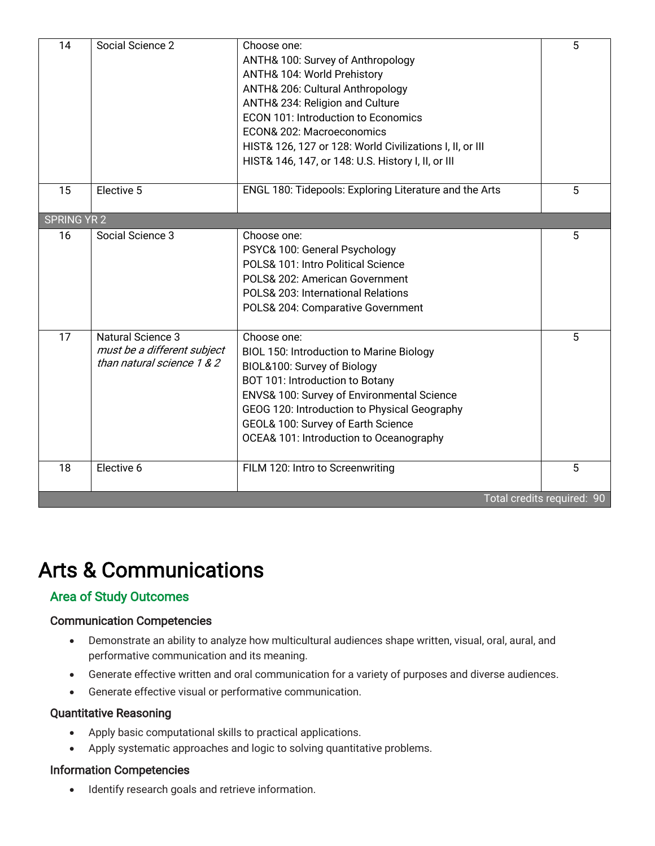| 14                 | Social Science 2                                                                      | Choose one:<br>ANTH& 100: Survey of Anthropology<br>ANTH& 104: World Prehistory<br>ANTH& 206: Cultural Anthropology<br>ANTH& 234: Religion and Culture<br><b>ECON 101: Introduction to Economics</b><br>ECON& 202: Macroeconomics<br>HIST& 126, 127 or 128: World Civilizations I, II, or III<br>HIST& 146, 147, or 148: U.S. History I, II, or III | 5 |  |  |  |
|--------------------|---------------------------------------------------------------------------------------|-----------------------------------------------------------------------------------------------------------------------------------------------------------------------------------------------------------------------------------------------------------------------------------------------------------------------------------------------------|---|--|--|--|
| 15                 | Elective 5                                                                            | ENGL 180: Tidepools: Exploring Literature and the Arts                                                                                                                                                                                                                                                                                              | 5 |  |  |  |
| <b>SPRING YR 2</b> |                                                                                       |                                                                                                                                                                                                                                                                                                                                                     |   |  |  |  |
| 16                 | Social Science 3                                                                      | Choose one:<br>PSYC& 100: General Psychology<br>POLS& 101: Intro Political Science<br>POLS& 202: American Government<br>POLS& 203: International Relations<br>POLS& 204: Comparative Government                                                                                                                                                     | 5 |  |  |  |
| 17                 | <b>Natural Science 3</b><br>must be a different subject<br>than natural science 1 & 2 | Choose one:<br><b>BIOL 150: Introduction to Marine Biology</b><br>BIOL&100: Survey of Biology<br>BOT 101: Introduction to Botany<br>ENVS& 100: Survey of Environmental Science<br>GEOG 120: Introduction to Physical Geography<br>GEOL& 100: Survey of Earth Science<br>OCEA& 101: Introduction to Oceanography                                     | 5 |  |  |  |
| 18                 | Elective 6                                                                            | FILM 120: Intro to Screenwriting                                                                                                                                                                                                                                                                                                                    | 5 |  |  |  |
|                    | Total credits required: 90                                                            |                                                                                                                                                                                                                                                                                                                                                     |   |  |  |  |

# Arts & Communications

#### Area of Study Outcomes

#### Communication Competencies

- Demonstrate an ability to analyze how multicultural audiences shape written, visual, oral, aural, and performative communication and its meaning.
- Generate effective written and oral communication for a variety of purposes and diverse audiences.
- Generate effective visual or performative communication.

#### Quantitative Reasoning

- Apply basic computational skills to practical applications.
- Apply systematic approaches and logic to solving quantitative problems.

#### Information Competencies

• Identify research goals and retrieve information.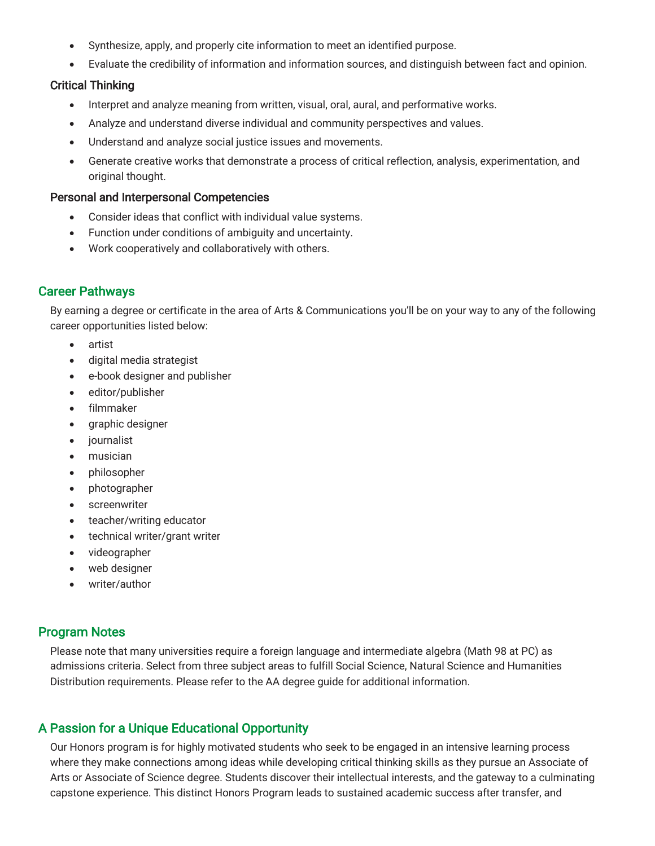- Synthesize, apply, and properly cite information to meet an identified purpose.
- Evaluate the credibility of information and information sources, and distinguish between fact and opinion.

#### Critical Thinking

- Interpret and analyze meaning from written, visual, oral, aural, and performative works.
- Analyze and understand diverse individual and community perspectives and values.
- Understand and analyze social justice issues and movements.
- Generate creative works that demonstrate a process of critical reflection, analysis, experimentation, and original thought.

#### Personal and Interpersonal Competencies

- Consider ideas that conflict with individual value systems.
- Function under conditions of ambiguity and uncertainty.
- Work cooperatively and collaboratively with others.

## Career Pathways

By earning a degree or certificate in the area of Arts & Communications you'll be on your way to any of the following career opportunities listed below:

- artist
- digital media strategist
- e-book designer and publisher
- editor/publisher
- filmmaker
- graphic designer
- journalist
- musician
- philosopher
- photographer
- screenwriter
- teacher/writing educator
- technical writer/grant writer
- videographer
- web designer
- writer/author

#### Program Notes

Please note that many universities require a foreign language and intermediate algebra (Math 98 at PC) as admissions criteria. Select from three subject areas to fulfill Social Science, Natural Science and Humanities Distribution requirements. Please refer to the AA degree guide for additional information.

# A Passion for a Unique Educational Opportunity

Our Honors program is for highly motivated students who seek to be engaged in an intensive learning process where they make connections among ideas while developing critical thinking skills as they pursue an Associate of Arts or Associate of Science degree. Students discover their intellectual interests, and the gateway to a culminating capstone experience. This distinct Honors Program leads to sustained academic success after transfer, and